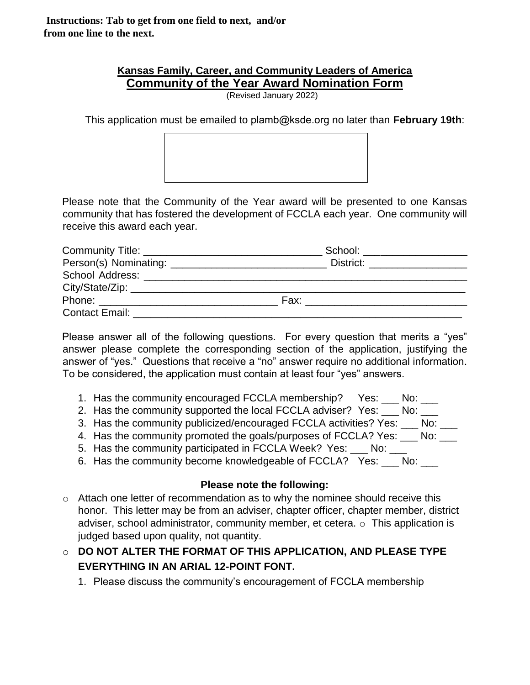**Instructions: Tab to get from one field to next, and/or from one line to the next.**

## **Kansas Family, Career, and Community Leaders of America Community of the Year Award Nomination Form**

(Revised January 2022)

This application must be emailed to plamb@ksde.org no later than **February 19th**:



Please note that the Community of the Year award will be presented to one Kansas community that has fostered the development of FCCLA each year. One community will receive this award each year.

|                                                                                                                 | School: ____________________                                                                                                                                                                                                   |  |  |  |  |  |  |
|-----------------------------------------------------------------------------------------------------------------|--------------------------------------------------------------------------------------------------------------------------------------------------------------------------------------------------------------------------------|--|--|--|--|--|--|
|                                                                                                                 | District: __________________                                                                                                                                                                                                   |  |  |  |  |  |  |
|                                                                                                                 |                                                                                                                                                                                                                                |  |  |  |  |  |  |
|                                                                                                                 |                                                                                                                                                                                                                                |  |  |  |  |  |  |
| Phone: _________________________                                                                                | Fax: Figure 2014 and the contract of the contract of the contract of the contract of the contract of the contract of the contract of the contract of the contract of the contract of the contract of the contract of the contr |  |  |  |  |  |  |
| Contact Email: Exercise Services and Services Services and Services Services and Services Services and Services |                                                                                                                                                                                                                                |  |  |  |  |  |  |

Please answer all of the following questions. For every question that merits a "yes" answer please complete the corresponding section of the application, justifying the answer of "yes." Questions that receive a "no" answer require no additional information. To be considered, the application must contain at least four "yes" answers.

- 1. Has the community encouraged FCCLA membership? Yes: \_\_\_ No: \_\_\_
- 2. Has the community supported the local FCCLA adviser? Yes: No:
- 3. Has the community publicized/encouraged FCCLA activities? Yes: \_\_\_ No: \_\_\_
- 4. Has the community promoted the goals/purposes of FCCLA? Yes: \_\_\_ No: \_\_\_
- 5. Has the community participated in FCCLA Week? Yes: \_\_\_ No: \_\_\_
- 6. Has the community become knowledgeable of FCCLA? Yes: \_\_\_ No: \_\_\_

## **Please note the following:**

- o Attach one letter of recommendation as to why the nominee should receive this honor. This letter may be from an adviser, chapter officer, chapter member, district adviser, school administrator, community member, et cetera. o This application is judged based upon quality, not quantity.
- o **DO NOT ALTER THE FORMAT OF THIS APPLICATION, AND PLEASE TYPE EVERYTHING IN AN ARIAL 12-POINT FONT.**
	- 1. Please discuss the community's encouragement of FCCLA membership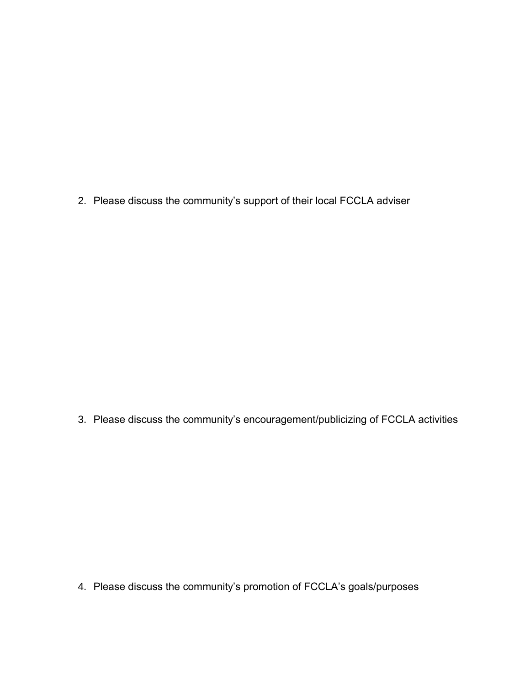2. Please discuss the community's support of their local FCCLA adviser

3. Please discuss the community's encouragement/publicizing of FCCLA activities

4. Please discuss the community's promotion of FCCLA's goals/purposes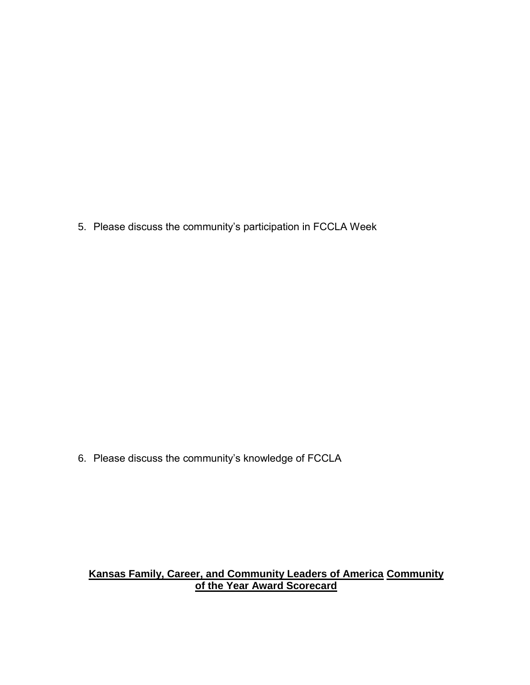5. Please discuss the community's participation in FCCLA Week

6. Please discuss the community's knowledge of FCCLA

## **Kansas Family, Career, and Community Leaders of America Community of the Year Award Scorecard**